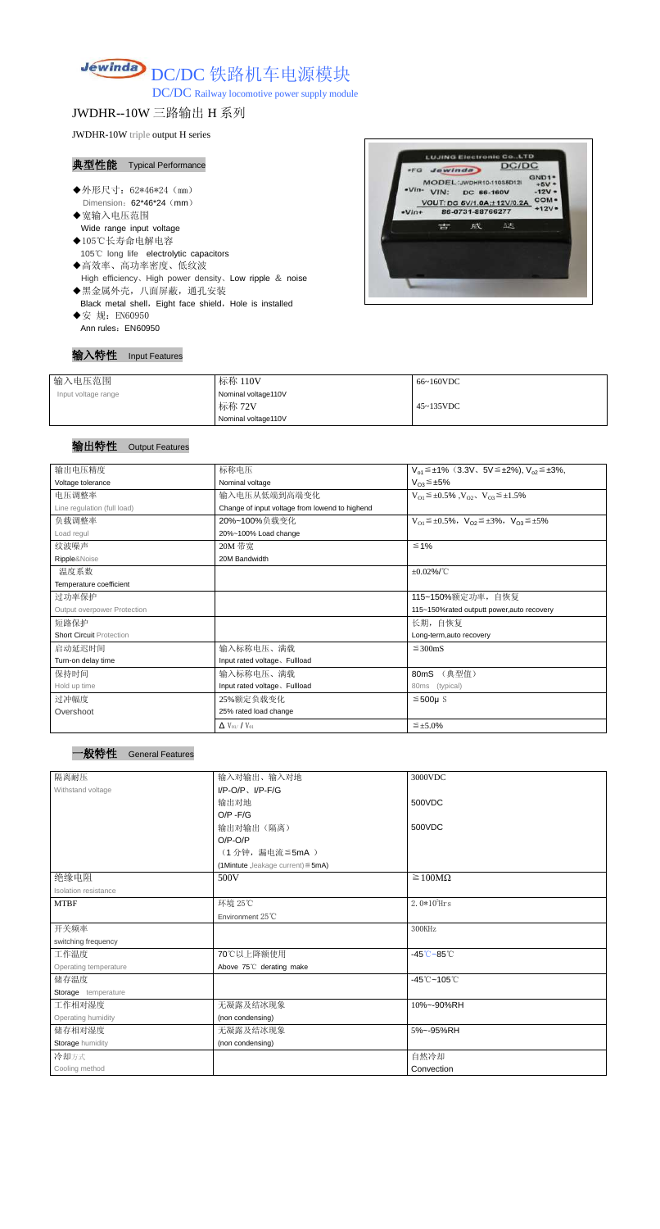

DC/DC Railway locomotive power supply module

## JWDHR--10W 三路输出 H 系列

JWDHR-10W triple output H series

#### 典型性能 Typical Performance

- ◆外形尺寸: 62\*46\*24 (mm) Dimension: 62\*46\*24 (mm)
- ◆宽输入电压范围 Wide range input voltage
- ◆105℃长寿命电解电容 105℃ long life electrolytic capacitors
- ◆高效率、高功率密度、低纹波 High efficiency、High power density、Low ripple & noise
- ◆黑金属外壳,八面屏蔽,通孔安装 Black metal shell, Eight face shield, Hole is installed
- ◆安 规: EN60950 Ann rules: EN60950

#### 输入特性 Input Features



| 输入电压范围              | 标称 110V             | 66~160VDC         |
|---------------------|---------------------|-------------------|
| Input voltage range | Nominal voltage110V |                   |
|                     | 标称 72V              | $45 \sim 135$ VDC |
|                     | Nominal voltage110V |                   |

### 输出特性 Output Features



| 输出电压精度                          | 标称电压                                           | $V_{o1} \leq \pm 1\%$ (3.3V, 5V $\leq \pm 2\%$ ), $V_{o2} \leq \pm 3\%$ , |  |  |
|---------------------------------|------------------------------------------------|---------------------------------------------------------------------------|--|--|
| Voltage tolerance               | Nominal voltage                                | $V_{O3} \leq \pm 5\%$                                                     |  |  |
| 电压调整率                           | 输入电压从低端到高端变化                                   | $V_{O1} \leq \pm 0.5\%$ , $V_{O2}$ , $V_{O3} \leq \pm 1.5\%$              |  |  |
| Line regulation (full load)     | Change of input voltage from lowend to highend |                                                                           |  |  |
| 负载调整率                           | 20%~100%负载变化                                   | $V_{O1} \leq \pm 0.5\%$ , $V_{O2} \leq \pm 3\%$ , $V_{O3} \leq \pm 5\%$   |  |  |
| Load regul                      | 20%~100% Load change                           |                                                                           |  |  |
| 纹波噪声                            | 20M 带宽                                         | $\leq 1\%$                                                                |  |  |
| Ripple&Noise                    | 20M Bandwidth                                  |                                                                           |  |  |
| 温度系数                            |                                                | $\pm 0.02\%$ /°C                                                          |  |  |
| Temperature coefficient         |                                                |                                                                           |  |  |
| 过功率保护                           |                                                | 115~150%额定功率,自恢复                                                          |  |  |
| Output overpower Protection     |                                                | 115~150%rated outputt power, auto recovery                                |  |  |
| 短路保护                            |                                                | 长期,自恢复                                                                    |  |  |
| <b>Short Circuit Protection</b> |                                                | Long-term, auto recovery                                                  |  |  |
| 启动延迟时间                          | 输入标称电压、满载                                      | $\leq$ 300mS                                                              |  |  |
| Turn-on delay time              | Input rated voltage. Fullload                  |                                                                           |  |  |
| 保持时间                            | 输入标称电压、满载                                      | (典型值)<br>80 <sub>m</sub> S                                                |  |  |
| Hold up time                    | Input rated voltage, Fullload                  | 80ms (typical)                                                            |  |  |
| 过冲幅度                            | 25%额定负载变化                                      | $≤500µ$ S                                                                 |  |  |
| Overshoot                       | 25% rated load change                          |                                                                           |  |  |
|                                 |                                                |                                                                           |  |  |

| $\Delta$ V <sub>01</sub> /V <sub>01</sub> |  | $\leq$ ±5.0% |
|-------------------------------------------|--|--------------|
|-------------------------------------------|--|--------------|

| 隔离耐压                  | 输入对输出、输入对地                              | 3000VDC                            |  |
|-----------------------|-----------------------------------------|------------------------------------|--|
| Withstand voltage     | $I/P$ -O/P, $I/P$ -F/G                  |                                    |  |
|                       | 输出对地                                    | 500VDC                             |  |
|                       | $O/P - F/G$                             |                                    |  |
|                       | 输出对输出(隔离)                               | 500VDC                             |  |
|                       | $O/P-O/P$                               |                                    |  |
|                       | (1分钟,漏电流≦5mA)                           |                                    |  |
|                       | (1Mintute, leakage current) $\leq$ 5mA) |                                    |  |
| 绝缘电阻                  | 500V                                    | $\geq 100M\Omega$                  |  |
| Isolation resistance  |                                         |                                    |  |
| <b>MTBF</b>           | 环境 25℃                                  | $2.0*105$ Hrs                      |  |
|                       | Environment 25°C                        |                                    |  |
| 开关频率                  |                                         | 300KHz                             |  |
| switching frequency   |                                         |                                    |  |
| 工作温度                  | 70℃以上降额使用                               | $-45^{\circ}$ C $-85^{\circ}$ C    |  |
| Operating temperature | Above 75°C derating make                |                                    |  |
| 储存温度                  |                                         | $-45^{\circ}$ C ~ 105 $^{\circ}$ C |  |
| Storage temperature   |                                         |                                    |  |
| 工作相对湿度                | 无凝露及结冰现象                                | 10%~-90%RH                         |  |
| Operating humidity    | (non condensing)                        |                                    |  |
| 储存相对湿度                | 无凝露及结冰现象                                | 5%~-95%RH                          |  |
| Storage humidity      | (non condensing)                        |                                    |  |
| 冷却方式                  |                                         | 自然冷却                               |  |
| Cooling method        |                                         | Convection                         |  |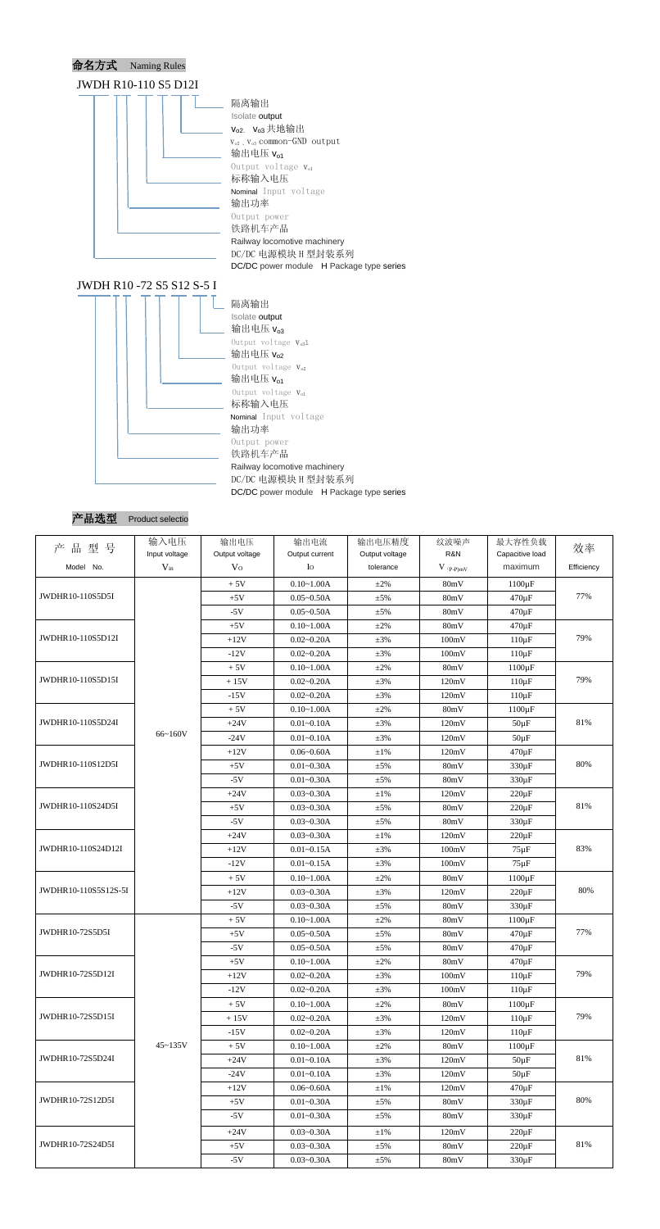





| 产品型号                 | 输入电压          | 输出电压           | 输出电流           | 输出电压精度         | 纹波噪声        | 最大容性负载                    | 效率         |
|----------------------|---------------|----------------|----------------|----------------|-------------|---------------------------|------------|
|                      | Input voltage | Output voltage | Output current | Output voltage | R&N         | Capacitive load           |            |
| Model No.            | $V_{in}$      | V <sub>O</sub> | $I_{\rm O}$    | tolerance      | $V$ (p-P)mV | maximum                   | Efficiency |
|                      |               | $+5V$          | $0.10 - 1.00A$ | $\pm 2\%$      | 80mV        | $1100 \,\mathrm{\upmu F}$ |            |
| JWDHR10-110S5D5I     |               | $+5V$          | $0.05 - 0.50A$ | ±5%            | 80mV        | $470 \,\mathrm{\upmu F}$  | 77%        |
|                      |               | $-5V$          | $0.05 - 0.50A$ | ±5%            | 80mV        | $470 \,\mathrm{\upmu F}$  |            |
|                      |               | $+5V$          | $0.10 - 1.00A$ | $\pm 2\%$      | 80mV        | 470 µF                    |            |
| JWDHR10-110S5D12I    |               | $+12V$         | $0.02 - 0.20A$ | $\pm 3\%$      | 100mV       | $110 \,\mathrm{\upmu F}$  | 79%        |
|                      |               | $-12V$         | $0.02 - 0.20A$ | $\pm 3\%$      | 100mV       | $110 \,\mathrm{\upmu F}$  |            |
|                      |               | $+5V$          | $0.10 - 1.00A$ | $\pm 2\%$      | 80mV        | $1100 \,\mathrm{\upmu F}$ |            |
| JWDHR10-110S5D15I    |               | $+15V$         | $0.02 - 0.20A$ | $\pm 3\%$      | 120mV       | $110 \,\mathrm{\upmu F}$  | 79%        |
|                      |               | $-15V$         | $0.02 - 0.20A$ | $\pm 3\%$      | 120mV       | $110 \,\mathrm{\upmu F}$  |            |
|                      |               | $+5V$          | $0.10 - 1.00A$ | $\pm 2\%$      | 80mV        | $1100 \,\mathrm{\upmu F}$ |            |
| JWDHR10-110S5D24I    |               | $+24V$         | $0.01 - 0.10A$ | $\pm 3\%$      | 120mV       | $50 \mu F$                | 81%        |
|                      | 66~160V       | $-24V$         | $0.01 - 0.10A$ | $\pm 3\%$      | 120mV       | $50 \mu F$                |            |
|                      |               | $+12V$         | $0.06 - 0.60A$ | $\pm1\%$       | 120mV       | $470 \,\mathrm{\upmu F}$  |            |
| JWDHR10-110S12D5I    |               | $+5V$          | $0.01 - 0.30A$ | $\pm$ 5%       | 80mV        | $330 \,\mathrm{\upmu F}$  | 80%        |
|                      |               | $-5V$          | $0.01 - 0.30A$ | ±5%            | 80mV        | 330 µF                    |            |
|                      |               | $+24V$         | $0.03 - 0.30A$ | $\pm 1\%$      | 120mV       | $220 \,\mathrm{\upmu F}$  |            |
| JWDHR10-110S24D5I    |               | $+5V$          | $0.03 - 0.30A$ | $\pm$ 5%       | 80mV        | $220 \,\mathrm{\upmu F}$  | 81%        |
|                      |               | $-5V$          | $0.03 - 0.30A$ | ±5%            | 80mV        | $330 \,\mathrm{\upmu F}$  |            |
|                      |               | $+24V$         | $0.03 - 0.30A$ | $\pm 1\%$      | 120mV       | $220 \,\mathrm{\upmu F}$  |            |
| JWDHR10-110S24D12I   |               | $+12V$         | $0.01 - 0.15A$ | $\pm 3\%$      | 100mV       | $75 \,\mathrm{\mu F}$     | 83%        |
|                      |               | $-12V$         | $0.01 - 0.15A$ | $\pm 3\%$      | 100mV       | $75 \,\mathrm{\mu F}$     |            |
|                      |               | $+5V$          | $0.10 - 1.00A$ | $\pm 2\%$      | 80mV        | $1100 \,\mathrm{\upmu F}$ |            |
| JWDHR10-110S5S12S-5I |               | $+12V$         | $0.03 - 0.30A$ | $\pm 3\%$      | 120mV       | $220 \,\mathrm{\upmu F}$  | 80%        |
|                      |               | $-5V$          | $0.03 - 0.30A$ | $\pm$ 5%       | 80mV        | $330 \,\mathrm{\upmu F}$  |            |
|                      |               | $+5V$          | $0.10 - 1.00A$ | $\pm 2\%$      | 80mV        | $1100 \,\mathrm{\upmu F}$ |            |
| JWDHR10-72S5D5I      |               | $+5V$          | $0.05 - 0.50A$ | $\pm 5\%$      | 80mV        | $470 \,\mathrm{\upmu F}$  | 77%        |
|                      |               | $-5V$          | $0.05 - 0.50A$ | $\pm 5\%$      | 80mV        | $470 \,\mathrm{\upmu F}$  |            |
|                      |               | $+5V$          | $0.10 - 1.00A$ | $\pm 2\%$      | 80mV        | $470 \,\mathrm{\upmu F}$  |            |
| JWDHR10-72S5D12I     |               | $+12V$         | $0.02 - 0.20A$ | $\pm 3\%$      | 100mV       | $110 \,\mathrm{\upmu F}$  | 79%        |
|                      |               | $-12V$         | $0.02 - 0.20A$ | $\pm 3\%$      | 100mV       | $110 \,\mathrm{\upmu F}$  |            |
|                      |               | $+5V$          | $0.10 - 1.00A$ | $\pm 2\%$      | 80mV        | $1100 \,\mathrm{\upmu F}$ |            |
| JWDHR10-72S5D15I     |               | $+15V$         | $0.02 - 0.20A$ | $\pm 3\%$      | 120mV       | $110 \,\mathrm{\upmu F}$  | 79%        |
|                      |               | $-15V$         | $0.02 - 0.20A$ | $\pm 3\%$      | 120mV       | $110 \,\mathrm{\upmu F}$  |            |
|                      | $45 - 135V$   | $+5V$          | $0.10 - 1.00A$ | $\pm 2\%$      | 80mV        | $1100 \,\mathrm{\upmu F}$ |            |
| JWDHR10-72S5D24I     |               | $+24V$         | $0.01 - 0.10A$ | $\pm 3\%$      | 120mV       | $50 \mu F$                | 81%        |
|                      |               | $-24V$         | $0.01 - 0.10A$ | $\pm 3\%$      | 120mV       | $50 \mu F$                |            |
|                      |               | $+12V$         | $0.06 - 0.60A$ | $\pm 1\%$      | 120mV       | 470 µF                    |            |
| JWDHR10-72S12D5I     |               | $+5V$          | $0.01 - 0.30A$ | $\pm 5\%$      | 80mV        | $330 \,\mathrm{\upmu F}$  | 80%        |
|                      |               | $-5V$          | $0.01 - 0.30A$ | $\pm$ 5%       | 80mV        | $330 \,\mathrm{\upmu F}$  |            |
|                      |               | $+24V$         | $0.03 - 0.30A$ | $\pm 1\%$      | 120mV       | $220 \,\mathrm{\upmu F}$  |            |
| JWDHR10-72S24D5I     |               | $+5V$          | $0.03 - 0.30A$ | $\pm$ 5%       | 80mV        | $220 \mu F$               | 81%        |
|                      |               | $-5V$          | $0.03 - 0.30A$ | $\pm$ 5%       | 80mV        | $330 \,\mathrm{\upmu F}$  |            |
|                      |               |                |                |                |             |                           |            |